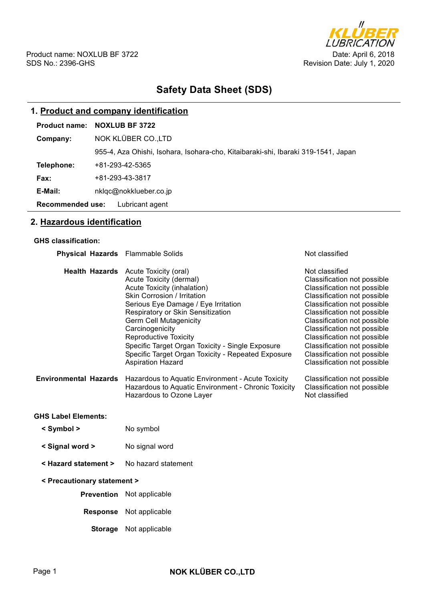

# **Safety Data Sheet (SDS)**

# **1. Product and company identification**

| <b>Product name:</b>                       | <b>NOXLUB BF 3722</b>                                                             |  |
|--------------------------------------------|-----------------------------------------------------------------------------------|--|
| Company:                                   | NOK KLÜBER CO.,LTD                                                                |  |
|                                            | 955-4, Aza Ohishi, Isohara, Isohara-cho, Kitaibaraki-shi, Ibaraki 319-1541, Japan |  |
| Telephone:                                 | +81-293-42-5365                                                                   |  |
| Fax:                                       | +81-293-43-3817                                                                   |  |
| E-Mail:                                    | nklgc@nokklueber.co.jp                                                            |  |
| <b>Recommended use:</b><br>Lubricant agent |                                                                                   |  |

# **2. Hazardous identification**

### **GHS classification:**

| <b>Physical Hazards</b> Flammable Solids |                                                                                                                                                                                                                                                                                                                                                                                                                                                                                                                                                                             | Not classified                                                                                                                                                                                                                                                                                                                                                                                                                                      |  |  |
|------------------------------------------|-----------------------------------------------------------------------------------------------------------------------------------------------------------------------------------------------------------------------------------------------------------------------------------------------------------------------------------------------------------------------------------------------------------------------------------------------------------------------------------------------------------------------------------------------------------------------------|-----------------------------------------------------------------------------------------------------------------------------------------------------------------------------------------------------------------------------------------------------------------------------------------------------------------------------------------------------------------------------------------------------------------------------------------------------|--|--|
| <b>Environmental Hazards</b>             | Health Hazards Acute Toxicity (oral)<br>Acute Toxicity (dermal)<br>Acute Toxicity (inhalation)<br>Skin Corrosion / Irritation<br>Serious Eye Damage / Eye Irritation<br>Respiratory or Skin Sensitization<br><b>Germ Cell Mutagenicity</b><br>Carcinogenicity<br><b>Reproductive Toxicity</b><br>Specific Target Organ Toxicity - Single Exposure<br>Specific Target Organ Toxicity - Repeated Exposure<br><b>Aspiration Hazard</b><br>Hazardous to Aquatic Environment - Acute Toxicity<br>Hazardous to Aquatic Environment - Chronic Toxicity<br>Hazardous to Ozone Layer | Not classified<br>Classification not possible<br>Classification not possible<br>Classification not possible<br>Classification not possible<br>Classification not possible<br>Classification not possible<br>Classification not possible<br>Classification not possible<br>Classification not possible<br>Classification not possible<br>Classification not possible<br>Classification not possible<br>Classification not possible<br>Not classified |  |  |
|                                          |                                                                                                                                                                                                                                                                                                                                                                                                                                                                                                                                                                             |                                                                                                                                                                                                                                                                                                                                                                                                                                                     |  |  |
| <b>GHS Label Elements:</b>               |                                                                                                                                                                                                                                                                                                                                                                                                                                                                                                                                                                             |                                                                                                                                                                                                                                                                                                                                                                                                                                                     |  |  |
| < Symbol >                               | No symbol                                                                                                                                                                                                                                                                                                                                                                                                                                                                                                                                                                   |                                                                                                                                                                                                                                                                                                                                                                                                                                                     |  |  |
| < Signal word >                          | No signal word                                                                                                                                                                                                                                                                                                                                                                                                                                                                                                                                                              |                                                                                                                                                                                                                                                                                                                                                                                                                                                     |  |  |
| < Hazard statement >                     | No hazard statement                                                                                                                                                                                                                                                                                                                                                                                                                                                                                                                                                         |                                                                                                                                                                                                                                                                                                                                                                                                                                                     |  |  |
| < Precautionary statement >              |                                                                                                                                                                                                                                                                                                                                                                                                                                                                                                                                                                             |                                                                                                                                                                                                                                                                                                                                                                                                                                                     |  |  |
|                                          | <b>Prevention</b> Not applicable                                                                                                                                                                                                                                                                                                                                                                                                                                                                                                                                            |                                                                                                                                                                                                                                                                                                                                                                                                                                                     |  |  |
|                                          | Response Not applicable                                                                                                                                                                                                                                                                                                                                                                                                                                                                                                                                                     |                                                                                                                                                                                                                                                                                                                                                                                                                                                     |  |  |
| <b>Storage</b>                           | Not applicable                                                                                                                                                                                                                                                                                                                                                                                                                                                                                                                                                              |                                                                                                                                                                                                                                                                                                                                                                                                                                                     |  |  |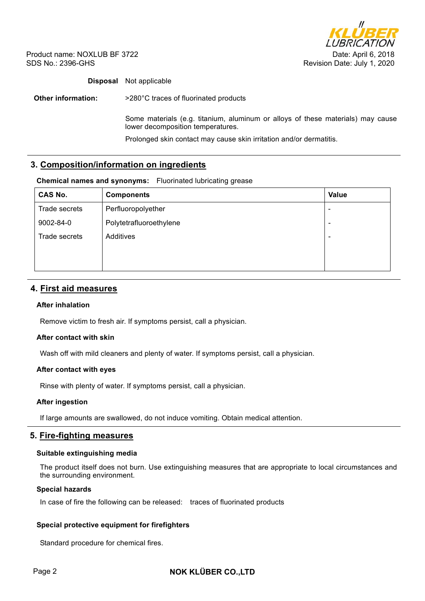

## **Disposal** Not applicable

**Other information:**  $>280^{\circ}$ C traces of fluorinated products

Some materials (e.g. titanium, aluminum or alloys of these materials) may cause lower decomposition temperatures.

Prolonged skin contact may cause skin irritation and/or dermatitis.

# **3. Composition/information on ingredients**

#### **Chemical names and synonyms:** Fluorinated lubricating grease

| <b>CAS No.</b> | <b>Components</b>       | <b>Value</b>             |
|----------------|-------------------------|--------------------------|
| Trade secrets  | Perfluoropolyether      | $\overline{\phantom{0}}$ |
| 9002-84-0      | Polytetrafluoroethylene | $\overline{\phantom{0}}$ |
| Trade secrets  | Additives               | $\overline{\phantom{0}}$ |
|                |                         |                          |
|                |                         |                          |

# **4. First aid measures**

#### **After inhalation**

Remove victim to fresh air. If symptoms persist, call a physician.

#### **After contact with skin**

Wash off with mild cleaners and plenty of water. If symptoms persist, call a physician.

#### **After contact with eyes**

Rinse with plenty of water. If symptoms persist, call a physician.

#### **After ingestion**

If large amounts are swallowed, do not induce vomiting. Obtain medical attention.

### **5. Fire-fighting measures**

#### **Suitable extinguishing media**

The product itself does not burn. Use extinguishing measures that are appropriate to local circumstances and the surrounding environment.

#### **Special hazards**

In case of fire the following can be released: traces of fluorinated products

### **Special protective equipment for firefighters**

Standard procedure for chemical fires.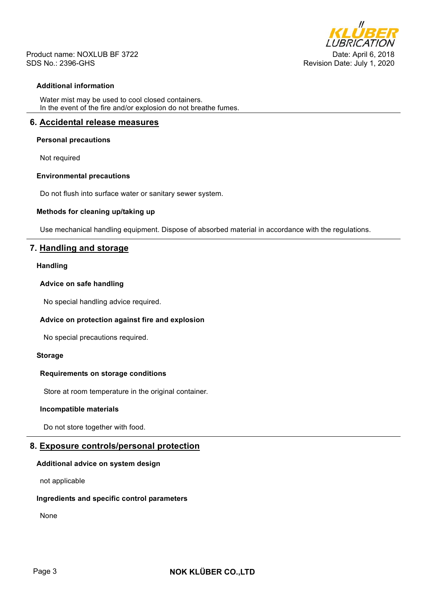

### **Additional information**

Water mist may be used to cool closed containers. In the event of the fire and/or explosion do not breathe fumes.

## **6. Accidental release measures**

#### **Personal precautions**

Not required

### **Environmental precautions**

Do not flush into surface water or sanitary sewer system.

### **Methods for cleaning up/taking up**

Use mechanical handling equipment. Dispose of absorbed material in accordance with the regulations.

# **7. Handling and storage**

### **Handling**

### **Advice on safe handling**

No special handling advice required.

### **Advice on protection against fire and explosion**

No special precautions required.

#### **Storage**

#### **Requirements on storage conditions**

Store at room temperature in the original container.

### **Incompatible materials**

Do not store together with food.

# **8. Exposure controls/personal protection**

#### **Additional advice on system design**

not applicable

#### **Ingredients and specific control parameters**

None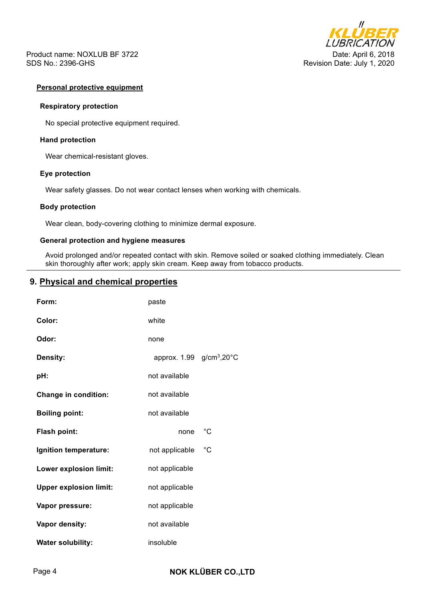

### **Personal protective equipment**

### **Respiratory protection**

No special protective equipment required.

### **Hand protection**

Wear chemical-resistant gloves.

### **Eye protection**

Wear safety glasses. Do not wear contact lenses when working with chemicals.

### **Body protection**

Wear clean, body-covering clothing to minimize dermal exposure.

### **General protection and hygiene measures**

Avoid prolonged and/or repeated contact with skin. Remove soiled or soaked clothing immediately. Clean skin thoroughly after work; apply skin cream. Keep away from tobacco products.

# **9. Physical and chemical properties**

| Form:                         | paste                                             |    |
|-------------------------------|---------------------------------------------------|----|
| Color:                        | white                                             |    |
| Odor:                         | none                                              |    |
| Density:                      | approx. $1.99$ g/cm <sup>3</sup> ,20 $^{\circ}$ C |    |
| pH:                           | not available                                     |    |
| <b>Change in condition:</b>   | not available                                     |    |
| <b>Boiling point:</b>         | not available                                     |    |
| Flash point:                  | none                                              | °C |
| Ignition temperature:         | not applicable                                    | °C |
| Lower explosion limit:        | not applicable                                    |    |
| <b>Upper explosion limit:</b> | not applicable                                    |    |
| Vapor pressure:               | not applicable                                    |    |
| Vapor density:                | not available                                     |    |
| <b>Water solubility:</b>      | insoluble                                         |    |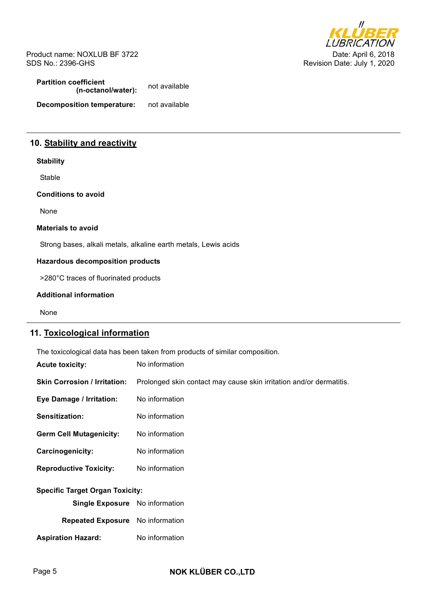

**Partition coefficient (n-octanol/water):** not available **Decomposition temperature:** not available

# **10. Stability and reactivity**

### **Stability**

Stable

**Conditions to avoid** 

None

### **Materials to avoid**

Strong bases, alkali metals, alkaline earth metals, Lewis acids

### **Hazardous decomposition products**

>280°C traces of fluorinated products

### **Additional information**

None

# **11. Toxicological information**

The toxicological data has been taken from products of similar composition.

| <b>Acute toxicity:</b>                 | No information                                                      |  |  |  |
|----------------------------------------|---------------------------------------------------------------------|--|--|--|
| <b>Skin Corrosion / Irritation:</b>    | Prolonged skin contact may cause skin irritation and/or dermatitis. |  |  |  |
| Eye Damage / Irritation:               | No information                                                      |  |  |  |
| <b>Sensitization:</b>                  | No information                                                      |  |  |  |
| <b>Germ Cell Mutagenicity:</b>         | No information                                                      |  |  |  |
| <b>Carcinogenicity:</b>                | No information                                                      |  |  |  |
| <b>Reproductive Toxicity:</b>          | No information                                                      |  |  |  |
| <b>Specific Target Organ Toxicity:</b> |                                                                     |  |  |  |
| Single Exposure No information         |                                                                     |  |  |  |
| Repeated Exposure No information       |                                                                     |  |  |  |
| <b>Aspiration Hazard:</b>              | No information                                                      |  |  |  |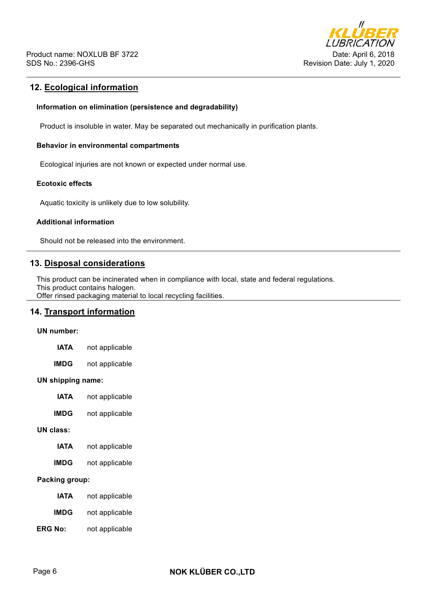

# **12. Ecological information**

### **Information on elimination (persistence and degradability)**

Product is insoluble in water. May be separated out mechanically in purification plants.

### **Behavior in environmental compartments**

Ecological injuries are not known or expected under normal use.

# **Ecotoxic effects**

Aquatic toxicity is unlikely due to low solubility.

#### **Additional information**

Should not be released into the environment.

# **13. Disposal considerations**

This product can be incinerated when in compliance with local, state and federal regulations. This product contains halogen.

Offer rinsed packaging material to local recycling facilities.

# **14. Transport information**

#### **UN number:**

| <b>IATA</b> | not applicable |
|-------------|----------------|
|-------------|----------------|

**IMDG** not applicable

#### **UN shipping name:**

- **IATA** not applicable
- **IMDG** not applicable

### **UN class:**

- **IATA** not applicable
- **IMDG** not applicable

## **Packing group:**

- **IATA** not applicable
- **IMDG** not applicable
- **ERG No:** not applicable